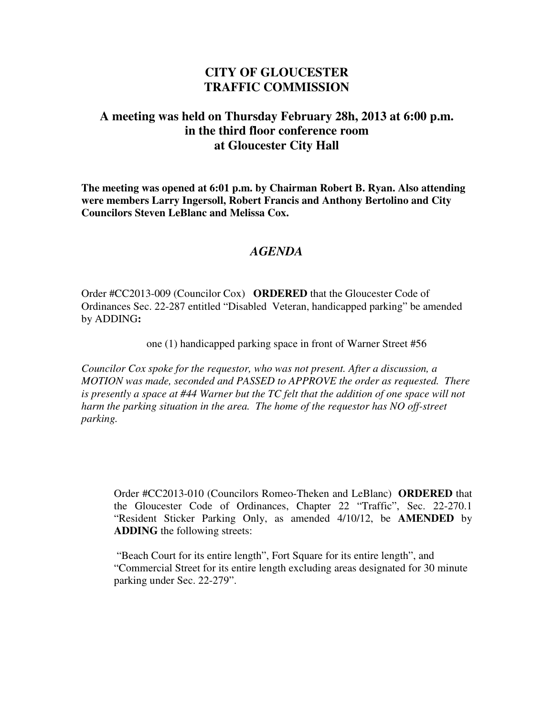## **CITY OF GLOUCESTER TRAFFIC COMMISSION**

## **A meeting was held on Thursday February 28h, 2013 at 6:00 p.m. in the third floor conference room at Gloucester City Hall**

**The meeting was opened at 6:01 p.m. by Chairman Robert B. Ryan. Also attending were members Larry Ingersoll, Robert Francis and Anthony Bertolino and City Councilors Steven LeBlanc and Melissa Cox.** 

## *AGENDA*

Order #CC2013-009 (Councilor Cox) **ORDERED** that the Gloucester Code of Ordinances Sec. 22-287 entitled "Disabled Veteran, handicapped parking" be amended by ADDING**:** 

one (1) handicapped parking space in front of Warner Street #56

*Councilor Cox spoke for the requestor, who was not present. After a discussion, a MOTION was made, seconded and PASSED to APPROVE the order as requested. There is presently a space at #44 Warner but the TC felt that the addition of one space will not harm the parking situation in the area. The home of the requestor has NO off-street parking.* 

Order #CC2013-010 (Councilors Romeo-Theken and LeBlanc) **ORDERED** that the Gloucester Code of Ordinances, Chapter 22 "Traffic", Sec. 22-270.1 "Resident Sticker Parking Only, as amended 4/10/12, be **AMENDED** by **ADDING** the following streets:

 "Beach Court for its entire length", Fort Square for its entire length", and "Commercial Street for its entire length excluding areas designated for 30 minute parking under Sec. 22-279".